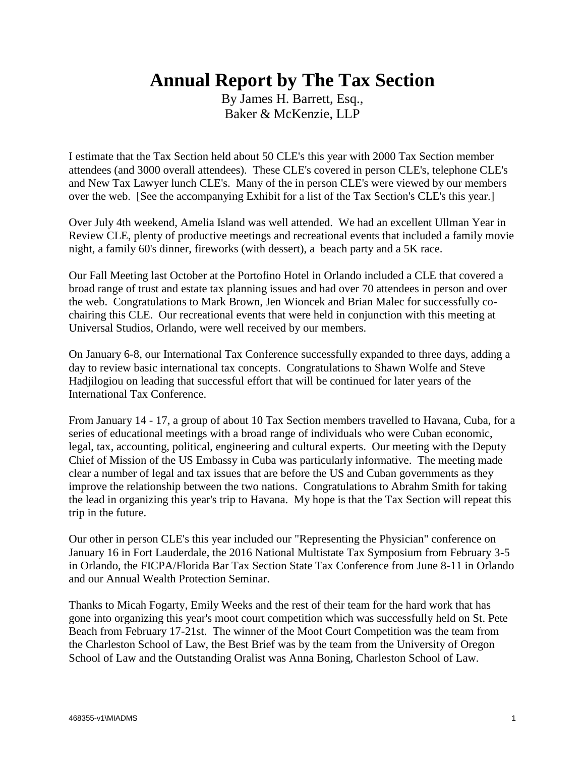## **Annual Report by The Tax Section**

By James H. Barrett, Esq., Baker & McKenzie, LLP

I estimate that the Tax Section held about 50 CLE's this year with 2000 Tax Section member attendees (and 3000 overall attendees). These CLE's covered in person CLE's, telephone CLE's and New Tax Lawyer lunch CLE's. Many of the in person CLE's were viewed by our members over the web. [See the accompanying Exhibit for a list of the Tax Section's CLE's this year.]

Over July 4th weekend, Amelia Island was well attended. We had an excellent Ullman Year in Review CLE, plenty of productive meetings and recreational events that included a family movie night, a family 60's dinner, fireworks (with dessert), a beach party and a 5K race.

Our Fall Meeting last October at the Portofino Hotel in Orlando included a CLE that covered a broad range of trust and estate tax planning issues and had over 70 attendees in person and over the web. Congratulations to Mark Brown, Jen Wioncek and Brian Malec for successfully cochairing this CLE. Our recreational events that were held in conjunction with this meeting at Universal Studios, Orlando, were well received by our members.

On January 6-8, our International Tax Conference successfully expanded to three days, adding a day to review basic international tax concepts. Congratulations to Shawn Wolfe and Steve Hadjilogiou on leading that successful effort that will be continued for later years of the International Tax Conference.

From January 14 - 17, a group of about 10 Tax Section members travelled to Havana, Cuba, for a series of educational meetings with a broad range of individuals who were Cuban economic, legal, tax, accounting, political, engineering and cultural experts. Our meeting with the Deputy Chief of Mission of the US Embassy in Cuba was particularly informative. The meeting made clear a number of legal and tax issues that are before the US and Cuban governments as they improve the relationship between the two nations. Congratulations to Abrahm Smith for taking the lead in organizing this year's trip to Havana. My hope is that the Tax Section will repeat this trip in the future.

Our other in person CLE's this year included our "Representing the Physician" conference on January 16 in Fort Lauderdale, the 2016 National Multistate Tax Symposium from February 3-5 in Orlando, the FICPA/Florida Bar Tax Section State Tax Conference from June 8-11 in Orlando and our Annual Wealth Protection Seminar.

Thanks to Micah Fogarty, Emily Weeks and the rest of their team for the hard work that has gone into organizing this year's moot court competition which was successfully held on St. Pete Beach from February 17-21st. The winner of the Moot Court Competition was the team from the Charleston School of Law, the Best Brief was by the team from the University of Oregon School of Law and the Outstanding Oralist was Anna Boning, Charleston School of Law.